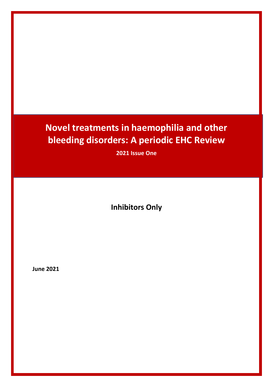# **Novel treatments in haemophilia and other bleeding disorders: A periodic EHC Review**

**2021 Issue One**

**Inhibitors Only**

**June 2021**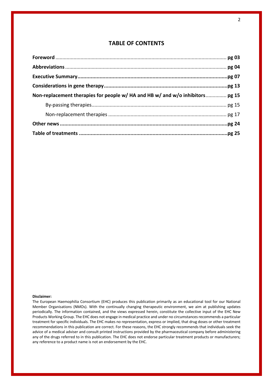## **TABLE OF CONTENTS**

| Non-replacement therapies for people w/ HA and HB w/ and w/o inhibitors pg 15 |  |
|-------------------------------------------------------------------------------|--|
|                                                                               |  |
|                                                                               |  |
|                                                                               |  |
|                                                                               |  |

#### **Disclaimer:**

The European Haemophilia Consortium (EHC) produces this publication primarily as an educational tool for our National Member Organisations (NMOs). With the continually changing therapeutic environment, we aim at publishing updates periodically. The information contained, and the views expressed herein, constitute the collective input of the EHC New Products Working Group. The EHC does not engage in medical practice and under no circumstances recommends a particular treatment for specific individuals. The EHC makes no representation, express or implied, that drug doses or other treatment recommendations in this publication are correct. For these reasons, the EHC strongly recommends that individuals seek the advice of a medical adviser and consult printed instructions provided by the pharmaceutical company before administering any of the drugs referred to in this publication. The EHC does not endorse particular treatment products or manufacturers; any reference to a product name is not an endorsement by the EHC.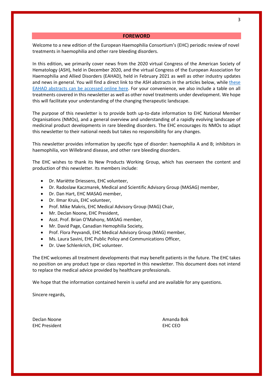#### **FOREWORD**

Welcome to a new edition of the European Haemophilia Consortium's (EHC) periodic review of novel treatments in haemophilia and other rare bleeding disorders.

In this edition, we primarily cover news from the 2020 virtual Congress of the American Society of Hematology (ASH), held in December 2020, and the virtual Congress of the European Association for Haemophilia and Allied Disorders (EAHAD), held in February 2021 as well as other industry updates and news in general. You will find a direct link to the ASH abstracts in the articles below, while these EAHAD abstracts can be accessed online here. For your convenience, we also include a table on all treatments covered in this newsletter as well as other novel treatments under development. We hope this will facilitate your understanding of the changing therapeutic landscape.

The purpose of this newsletter is to provide both up-to-date information to EHC National Member Organisations (NMOs), and a general overview and understanding of a rapidly evolving landscape of medicinal product developments in rare bleeding disorders. The EHC encourages its NMOs to adapt this newsletter to their national needs but takes no responsibility for any changes.

This newsletter provides information by specific type of disorder: haemophilia A and B; inhibitors in haemophilia, von Willebrand disease, and other rare bleeding disorders.

The EHC wishes to thank its New Products Working Group, which has overseen the content and production of this newsletter. Its members include:

- Dr. Mariëtte Driessens, EHC volunteer,
- Dr. Radoslaw Kaczmarek, Medical and Scientific Advisory Group (MASAG) member,
- Dr. Dan Hart, EHC MASAG member,
- Dr. Ilmar Kruis, EHC volunteer,
- Prof. Mike Makris, EHC Medical Advisory Group (MAG) Chair,
- Mr. Declan Noone, EHC President,
- Asst. Prof. Brian O'Mahony, MASAG member,
- Mr. David Page, Canadian Hemophilia Society,
- Prof. Flora Peyvandi, EHC Medical Advisory Group (MAG) member,
- Ms. Laura Savini, EHC Public Policy and Communications Officer,
- Dr. Uwe Schlenkrich, EHC volunteer.

The EHC welcomes all treatment developments that may benefit patients in the future. The EHC takes no position on any product type or class reported in this newsletter. This document does not intend to replace the medical advice provided by healthcare professionals.

We hope that the information contained herein is useful and are available for any questions.

Sincere regards,

Declan Noone **Amanda Bok Amanda Bok** EHC President EHC CEO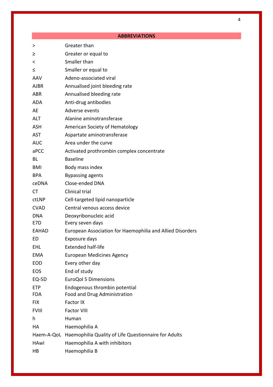|              | <b>ABBREVIATIONS</b>                                      |
|--------------|-----------------------------------------------------------|
| >            | Greater than                                              |
| ≥            | Greater or equal to                                       |
| <            | Smaller than                                              |
| ≤            | Smaller or equal to                                       |
| AAV          | Adeno-associated viral                                    |
| <b>AJBR</b>  | Annualised joint bleeding rate                            |
| <b>ABR</b>   | Annualised bleeding rate                                  |
| <b>ADA</b>   | Anti-drug antibodies                                      |
| AE           | Adverse events                                            |
| <b>ALT</b>   | Alanine aminotransferase                                  |
| <b>ASH</b>   | American Society of Hematology                            |
| <b>AST</b>   | Aspartate aminotransferase                                |
| <b>AUC</b>   | Area under the curve                                      |
| aPCC         | Activated prothrombin complex concentrate                 |
| BL           | <b>Baseline</b>                                           |
| BMI          | Body mass index                                           |
| <b>BPA</b>   | <b>Bypassing agents</b>                                   |
| ceDNA        | Close-ended DNA                                           |
| CT           | Clinical trial                                            |
| ctLNP        | Cell-targeted lipid nanoparticle                          |
| <b>CVAD</b>  | Central venous access device                              |
| <b>DNA</b>   | Deoxyribonucleic acid                                     |
| E7D          | Every seven days                                          |
| EAHAD        | European Association for Haemophilia and Allied Disorders |
| ED           | Exposure days                                             |
| EHL          | <b>Extended half-life</b>                                 |
| EMA          | <b>European Medicines Agency</b>                          |
| <b>EOD</b>   | Every other day                                           |
| <b>EOS</b>   | End of study                                              |
| EQ-5D        | <b>EuroQol 5 Dimensions</b>                               |
| <b>ETP</b>   | Endogenous thrombin potential                             |
| <b>FDA</b>   | Food and Drug Administration                              |
| <b>FIX</b>   | Factor IX                                                 |
| <b>FVIII</b> | <b>Factor VIII</b>                                        |
| h            | Human                                                     |
| HA           | Haemophilia A                                             |

# Haem-A-QoL Haemophilia Quality of Life Questionnaire for Adults

HAwI Haemophilia A with inhibitors

HB Haemophilia B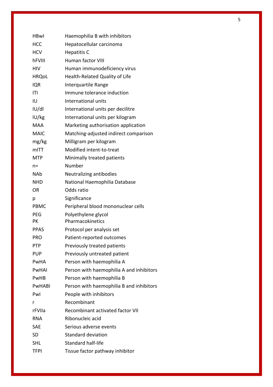| <b>HBwl</b>  | Haemophilia B with inhibitors            |
|--------------|------------------------------------------|
| <b>HCC</b>   | Hepatocellular carcinoma                 |
| <b>HCV</b>   | <b>Hepatitis C</b>                       |
| hFVIII       | Human factor VIII                        |
| <b>HIV</b>   | Human immunodeficiency virus             |
| <b>HRQoL</b> | Health-Related Quality of Life           |
| <b>IQR</b>   | Interquartile Range                      |
| ITI          | Immune tolerance induction               |
| IU           | International units                      |
| U/d          | International units per decilitre        |
| IU/kg        | International units per kilogram         |
| <b>MAA</b>   | Marketing authorisation application      |
| <b>MAIC</b>  | Matching-adjusted indirect comparison    |
| mg/kg        | Milligram per kilogram                   |
| mITT         | Modified intent-to-treat                 |
| <b>MTP</b>   | Minimally treated patients               |
| $n =$        | Number                                   |
| <b>NAb</b>   | Neutralizing antibodies                  |
| <b>NHD</b>   | National Haemophilia Database            |
| <b>OR</b>    | Odds ratio                               |
| р            | Significance                             |
| PBMC         | Peripheral blood mononuclear cells       |
| <b>PEG</b>   | Polyethylene glycol                      |
| <b>PK</b>    | Pharmacokinetics                         |
| <b>PPAS</b>  | Protocol per analysis set                |
| <b>PRO</b>   | Patient-reported outcomes                |
| <b>PTP</b>   | Previously treated patients              |
| <b>PUP</b>   | Previously untreated patient             |
| PwHA         | Person with haemophilia A                |
| PwHAI        | Person with haemophilia A and inhibitors |
| PwHB         | Person with haemophilia B                |
| PwHABI       | Person with haemophilia B and inhibitors |
| Pwl          | People with inhibitors                   |
| r            | Recombinant                              |
| rFVIIa       | Recombinant activated factor VII         |
| <b>RNA</b>   | Ribonucleic acid                         |
| SAE          | Serious adverse events                   |
| <b>SD</b>    | Standard deviation                       |
| <b>SHL</b>   | Standard half-life                       |
| <b>TFPI</b>  | Tissue factor pathway inhibitor          |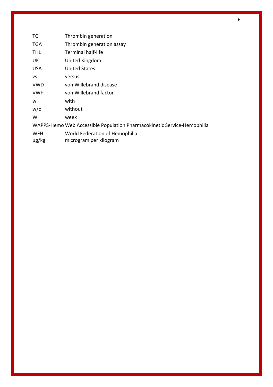| TG         | Thrombin generation                                                     |
|------------|-------------------------------------------------------------------------|
| <b>TGA</b> | Thrombin generation assay                                               |
| <b>THL</b> | <b>Terminal half-life</b>                                               |
| UK.        | United Kingdom                                                          |
| USA        | <b>United States</b>                                                    |
| VS         | versus                                                                  |
| <b>VWD</b> | von Willebrand disease                                                  |
| <b>VWF</b> | von Willebrand factor                                                   |
| W          | with                                                                    |
| w/o        | without                                                                 |
| W          | week                                                                    |
|            | WAPPS-Hemo Web Accessible Population Pharmacokinetic Service-Hemophilia |
| <b>WFH</b> | World Federation of Hemophilia                                          |
| $\mu$ g/kg | microgram per kilogram                                                  |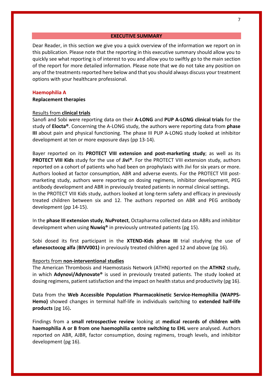**EXECUTIVE SUMMARY**

Dear Reader, in this section we give you a quick overview of the information we report on in this publication. Please note that the reporting in this executive summary should allow you to quickly see what reporting is of interest to you and allow you to swiftly go to the main section of the report for more detailed information. Please note that we do not take any position on any of the treatments reported here below and that you should always discuss your treatment options with your healthcare professional.

#### **Haemophilia A**

**Replacement therapies** 

#### Results from **clinical trials**

Sanofi and Sobi were reporting data on their **A-LONG** and **PUP A-LONG clinical trials** for the study of **Elocta®**. Concerning the A-LONG study, the authors were reporting data from **phase III** about pain and physical functioning. The phase III PUP A-LONG study looked at inhibitor development at ten or more exposure days (pp 13-14).

Bayer reported on its **PROTECT VIII extension and post-marketing study**; as well as its **PROTECT VIII Kids** study for the use of **Jivi®**. For the PROTECT VIII extension study, authors reported on a cohort of patients who had been on prophylaxis with Jivi for six years or more. Authors looked at factor consumption, ABR and adverse events. For the PROTECT VIII postmarketing study, authors were reporting on dosing regimens, inhibitor development, PEG antibody development and ABR in previously treated patients in normal clinical settings. In the PROTECT VIII Kids study, authors looked at long-term safety and efficacy in previously treated children between six and 12. The authors reported on ABR and PEG antibody development (pp 14-15).

In the **phase III extension study**, **NuProtect**, Octapharma collected data on ABRs and inhibitor development when using **Nuwiq®** in previously untreated patients (pg 15).

Sobi dosed its first participant in the **XTEND-Kids phase III** trial studying the use of **efanesoctocog alfa** (**BIVV001)** in previously treated children aged 12 and above (pg 16).

## Reports from **non-interventional studies**

The American Thrombosis and Haemostasis Network (ATHN) reported on the **ATHN2** study, in which **Adynovi/Adynovate®** is used in previously treated patients. The study looked at dosing regimens, patient satisfaction and the impact on health status and productivity (pg 16).

Data from the **Web Accessible Population Pharmacokinetic Service-Hemophilia (WAPPS-Hemo)** showed changes in terminal half-life in individuals switching to **extended half-life products** (pg 16)**.** 

Findings from a **small retrospective review** looking at **medical records of children with haemophilia A or B from one haemophilia centre switching to EHL** were analysed. Authors reported on ABR, AJBR, factor consumption, dosing regimens, trough levels, and inhibitor development (pg 16).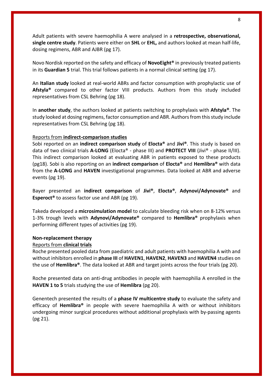Adult patients with severe haemophilia A were analysed in a **retrospective, observational, single centre study**. Patients were either on **SHL** or **EHL,** and authors looked at mean half-life, dosing regimens, ABR and AJBR (pg 17).

Novo Nordisk reported on the safety and efficacy of **NovoEight®** in previously treated patients in its **Guardian 5** trial. This trial follows patients in a normal clinical setting (pg 17).

An **Italian study** looked at real-world ABRs and factor consumption with prophylactic use of **Afstyla®** compared to other factor VIII products. Authors from this study included representatives from CSL Behring (pg 18).

In **another study**, the authors looked at patients switching to prophylaxis with **Afstyla®**. The study looked at dosing regimens, factor consumption and ABR. Authors from this study include representatives from CSL Behring (pg 18).

## Reports from **indirect-comparison studies**

Sobi reported on an **indirect comparison study** of **Elocta®** and **Jivi®**. This study is based on data of two clinical trials **A-LONG** (Elocta® - phase III) and **PROTECT VIII** (Jivi® - phase II/III). This indirect comparison looked at evaluating ABR in patients exposed to these products (pg18). Sobi is also reporting on an **indirect comparison** of **Elocta®** and **Hemlibra®** with data from the **A-LONG** and **HAVEN** investigational programmes. Data looked at ABR and adverse events (pg 19).

Bayer presented an **indirect comparison** of **Jivi®**, **Elocta®**, **Adynovi/Adynovate®** and **Esperoct®** to assess factor use and ABR (pg 19).

Takeda developed a **microsimulation model** to calculate bleeding risk when on 8-12% versus 1-3% trough levels with **Adynovi/Adynovate®** compared to **Hemlibra®** prophylaxis when performing different types of activities (pg 19).

#### **Non-replacement therapy**

#### Reports from **clinical trials**

Roche presented pooled data from paediatric and adult patients with haemophilia A with and without inhibitors enrolled in **phase III** of **HAVEN1**, **HAVEN2**, **HAVEN3** and **HAVEN4** studies on the use of **Hemlibra®**. The data looked at ABR and target joints across the four trials (pg 20).

Roche presented data on anti-drug antibodies in people with haemophilia A enrolled in the **HAVEN 1 to 5** trials studying the use of **Hemlibra** (pg 20).

Genentech presented the results of a **phase IV multicentre study** to evaluate the safety and efficacy of **Hemlibra®** in people with severe haemophilia A with or without inhibitors undergoing minor surgical procedures without additional prophylaxis with by-passing agents (pg 21).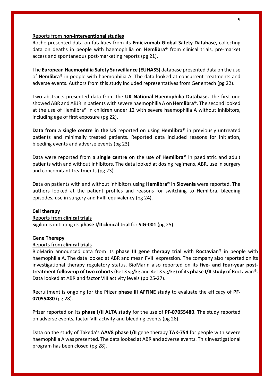#### Reports from **non-interventional studies**

Roche presented data on fatalities from its **Emicizumab Global Safety Database,** collecting data on deaths in people with haemophilia on **Hemlibra®** from clinical trials, pre-market access and spontaneous post-marketing reports (pg 21).

The **European Haemophilia Safety Surveillance (EUHASS)** database presented data on the use of **Hemlibra®** in people with haemophilia A. The data looked at concurrent treatments and adverse events. Authors from this study included representatives from Genentech (pg 22).

Two abstracts presented data from the **UK National Haemophilia Database.** The first one showed ABR and ABJR in patients with severe haemophilia A on **Hemlibra®**. The second looked at the use of Hemlibra® in children under 12 with severe haemophilia A without inhibitors, including age of first exposure (pg 22).

**Data from a single centre in the US** reported on using **Hemlibra®** in previously untreated patients and minimally treated patients. Reported data included reasons for initiation, bleeding events and adverse events (pg 23).

Data were reported from a **single centre** on the use of **Hemlibra®** in paediatric and adult patients with and without inhibitors. The data looked at dosing regimens, ABR, use in surgery and concomitant treatments (pg 23).

Data on patients with and without inhibitors using **Hemlibra®** in **Slovenia** were reported. The authors looked at the patient profiles and reasons for switching to Hemlibra, bleeding episodes, use in surgery and FVIII equivalency (pg 24).

## **Cell therapy**

#### Reports from **clinical trials**

Sigilon is initiating its **phase I/II clinical trial** for **SIG-001** (pg 25).

#### **Gene Therapy**

## Reports from **clinical trials**

BioMarin announced data from its **phase III gene therapy trial** with **Roctavian®** in people with haemophilia A. The data looked at ABR and mean FVIII expression. The company also reported on its investigational therapy regulatory status. BioMarin also reported on its **five- and four-year posttreatment follow-up of two cohorts**(6e13 vg/kg and 4e13 vg/kg) of its **phase I/II study** of Roctavian**®**. Data looked at ABR and factor VIII activity levels (pp 25-27).

Recruitment is ongoing for the Pfizer **phase III AFFINE study** to evaluate the efficacy of **PF-07055480** (pg 28).

Pfizer reported on its **phase I/II ALTA study** for the use of **PF-07055480**. The study reported on adverse events, factor VIII activity and bleeding events (pg 28).

Data on the study of Takeda's **AAV8 phase I/II** gene therapy **TAK-754** for people with severe haemophilia A was presented. The data looked at ABR and adverse events. This investigational program has been closed (pg 28).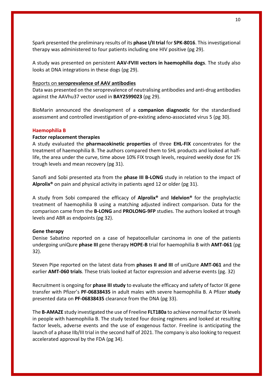Spark presented the preliminary results of its **phase I/II trial** for **SPK-8016**. This investigational therapy was administered to four patients including one HIV positive (pg 29).

A study was presented on persistent **AAV-FVIII vectors in haemophilia dogs**. The study also looks at DNA integrations in these dogs (pg 29).

## Reports on **seroprevalence of AAV antibodies**

Data was presented on the seroprevalence of neutralising antibodies and anti-drug antibodies against the AAVhu37 vector used in **BAY2599023** (pg 29).

BioMarin announced the development of a **companion diagnostic** for the standardised assessment and controlled investigation of pre-existing adeno-associated virus 5 (pg 30).

## **Haemophilia B**

## **Factor replacement therapies**

A study evaluated the **pharmacokinetic properties** of three **EHL-FIX** concentrates for the treatment of haemophilia B. The authors compared them to SHL products and looked at halflife, the area under the curve, time above 10% FIX trough levels, required weekly dose for 1% trough levels and mean recovery (pg 31).

Sanofi and Sobi presented ata from the **phase III B-LONG** study in relation to the impact of **Alprolix®** on pain and physical activity in patients aged 12 or older (pg 31).

A study from Sobi compared the efficacy of **Alprolix®** and **Idelvion®** for the prophylactic treatment of haemophilia B using a matching adjusted indirect comparison. Data for the comparison came from the **B-LONG** and **PROLONG-9FP** studies. The authors looked at trough levels and ABR as endpoints (pg 32).

## **Gene therapy**

Denise Sabatino reported on a case of hepatocellular carcinoma in one of the patients undergoing uniQure **phase III** gene therapy **HOPE-B** trial for haemophilia B with **AMT-061** (pg 32).

Steven Pipe reported on the latest data from **phases II and III** of uniQure **AMT-061** and the earlier **AMT-060 trials**. These trials looked at factor expression and adverse events (pg. 32)

Recruitment is ongoing for **phase III study** to evaluate the efficacy and safety of factor IX gene transfer with Pfizer's **PF-06838435** in adult males with severe haemophilia B. A Pfizer **study** presented data on **PF-06838435** clearance from the DNA (pg 33).

The **B-AMAZE** study investigated the use of Freeline **FLT180a** to achieve normal factor IX levels in people with haemophilia B. The study tested four dosing regimens and looked at resulting factor levels, adverse events and the use of exogenous factor. Freeline is anticipating the launch of a phase IIb/III trial in the second half of 2021. The company is also looking to request accelerated approval by the FDA (pg 34).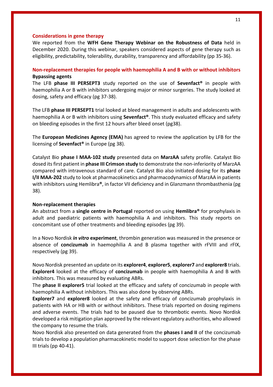#### **Considerations in gene therapy**

We reported from the **WFH Gene Therapy Webinar on the Robustness of Data** held in December 2020. During this webinar, speakers considered aspects of gene therapy such as eligibility, predictability, tolerability, durability, transparency and affordability (pp 35-36).

## **Non-replacement therapies for people with haemophilia A and B with or without inhibitors Bypassing agents**

The LFB **phase III PERSEPT3** study reported on the use of **Sevenfact®** in people with haemophilia A or B with inhibitors undergoing major or minor surgeries. The study looked at dosing, safety and efficacy (pg 37-38).

The LFB **phase III PERSEPT1** trial looked at bleed management in adults and adolescents with haemophilia A or B with inhibitors using **Sevenfact®**. This study evaluated efficacy and safety on bleeding episodes in the first 12 hours after bleed onset (pg38).

The **European Medicines Agency (EMA)** has agreed to review the application by LFB for the licensing of **Sevenfact®** in Europe (pg 38).

Catalyst Bio **phase I MAA-102 study** presented data on **MarzAA** safety profile. Catalyst Bio dosed its first patient in **phase III Crimson study** to demonstrate the non-inferiority of MarzAA compared with intravenous standard of care. Catalyst Bio also initiated dosing for its **phase I/II MAA-202** study to look at pharmacokinetics and pharmacodynamics of MarzAA in patients with inhibitors using Hemlibra**®**, in factor VII deficiency and in Glanzmann thrombasthenia (pg 38).

#### **Non-replacement therapies**

An abstract from a **single centre in Portugal** reported on using **Hemlibra®** for prophylaxis in adult and paediatric patients with haemophilia A and inhibitors. This study reports on concomitant use of other treatments and bleeding episodes (pg 39).

In a Novo Nordisk *in vitro* **experiment**, thrombin generation was measured in the presence or absence of **concizumab** in haemophilia A and B plasma together with rFVIII and rFIX, respectively (pg 39).

Novo Nordisk presented an update on its **explorer4**, **explorer5**, **explorer7** and **explorer8** trials. **Explorer4** looked at the efficacy of **concizumab** in people with haemophilia A and B with inhibitors. This was measured by evaluating ABRs.

The **phase II explorer5** trial looked at the efficacy and safety of concizumab in people with haemophilia A without inhibitors. This was also done by observing ABRs.

**Explorer7** and **explorer8** looked at the safety and efficacy of concizumab prophylaxis in patients with HA or HB with or without inhibitors. These trials reported on dosing regimens and adverse events. The trials had to be paused due to thrombotic events. Novo Nordisk developed a risk mitigation plan approved by the relevant regulatory authorities, who allowed the company to resume the trials.

Novo Nordisk also presented on data generated from the **phases I and II** of the concizumab trials to develop a population pharmacokinetic model to support dose selection for the phase III trials (pp 40-41).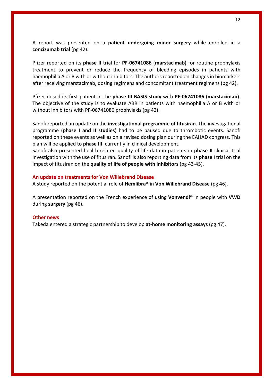A report was presented on a **patient undergoing minor surgery** while enrolled in a **concizumab trial** (pg 42).

Pfizer reported on its **phase II** trial for **PF-06741086** (**marstacimab)** for routine prophylaxis treatment to prevent or reduce the frequency of bleeding episodes in patients with haemophilia A or B with or without inhibitors. The authors reported on changes in biomarkers after receiving marstacimab, dosing regimens and concomitant treatment regimens (pg 42).

Pfizer dosed its first patient in the **phase III BASIS study** with **PF-06741086** (**marstacimab)**. The objective of the study is to evaluate ABR in patients with haemophilia A or B with or without inhibitors with PF-06741086 prophylaxis (pg 42).

Sanofi reported an update on the **investigational programme of fitusiran**. The investigational programme (**phase I and II studies**) had to be paused due to thrombotic events. Sanofi reported on these events as well as on a revised dosing plan during the EAHAD congress. This plan will be applied to **phase III**, currently in clinical development.

Sanofi also presented health-related quality of life data in patients in **phase II** clinical trial investigation with the use of fitusiran. Sanofi is also reporting data from its **phase I** trial on the impact of fitusiran on the **quality of life of people with inhibitors** (pg 43-45).

#### **An update on treatments for Von Willebrand Disease**

A study reported on the potential role of **Hemlibra®** in **Von Willebrand Disease** (pg 46).

A presentation reported on the French experience of using **Vonvendi®** in people with **VWD** during **surgery** (pg 46).

#### **Other news**

Takeda entered a strategic partnership to develop **at-home monitoring assays** (pg 47).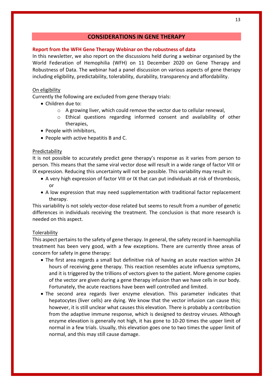## **CONSIDERATIONS IN GENE THERAPY**

## **Report from the WFH Gene Therapy Webinar on the robustness of data**

In this newsletter, we also report on the discussions held during a webinar organised by the World Federation of Hemophilia (WFH) on 11 December 2020 on Gene Therapy and Robustness of Data. The webinar had a panel discussion on various aspects of gene therapy including eligibility, predictability, tolerability, durability, transparency and affordability.

## On eligibility

Currently the following are excluded from gene therapy trials:

- Children due to:
	- $\circ$  A growing liver, which could remove the vector due to cellular renewal,
	- o Ethical questions regarding informed consent and availability of other therapies,
- People with inhibitors,
- People with active hepatitis B and C.

## Predictability

It is not possible to accurately predict gene therapy's response as it varies from person to person. This means that the same viral vector dose will result in a wide range of factor VIII or IX expression. Reducing this uncertainty will not be possible. This variability may result in:

- A very high expression of factor VIII or IX that can put individuals at risk of thrombosis, or
- A low expression that may need supplementation with traditional factor replacement therapy.

This variability is not solely vector-dose related but seems to result from a number of genetic differences in individuals receiving the treatment. The conclusion is that more research is needed on this aspect.

## Tolerability

This aspect pertains to the safety of gene therapy. In general, the safety record in haemophilia treatment has been very good, with a few exceptions. There are currently three areas of concern for safety in gene therapy:

- The first area regards a small but definitive risk of having an acute reaction within 24 hours of receiving gene therapy. This reaction resembles acute influenza symptoms, and it is triggered by the trillions of vectors given to the patient. More genome copies of the vector are given during a gene therapy infusion than we have cells in our body. Fortunately, the acute reactions have been well controlled and limited.
- The second area regards liver enzyme elevation. This parameter indicates that hepatocytes (liver cells) are dying. We know that the vector infusion can cause this; however, it is still unclear what causes this elevation. There is probably a contribution from the adaptive immune response, which is designed to destroy viruses. Although enzyme elevation is generally not high, it has gone to 10-20 times the upper limit of normal in a few trials. Usually, this elevation goes one to two times the upper limit of normal, and this may still cause damage.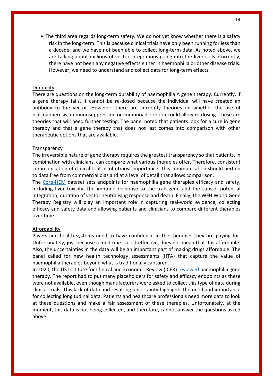• The third area regards long-term safety. We do not yet know whether there is a safety risk in the long-term. This is because clinical trials have only been running for less than a decade, and we have not been able to collect long-term data. As noted above, we are talking about millions of vector integrations going into the liver cells. Currently, there have not been any negative effects either in haemophilia or other disease trials. However, we need to understand and collect data for long-term effects.

## Durability

There are questions on the long-term durability of haemophilia A gene therapy. Currently, if a gene therapy fails, it cannot be re-dosed because the individual will have created an antibody to the vector. However, there are currently theories on whether the use of plasmapheresis, immunosuppression or immunoadsorption could allow re-dosing. These are theories that will need further testing. The panel noted that patients look for a cure in gene therapy and that a gene therapy that does not last comes into comparison with other therapeutic options that are available.

## **Transparency**

The irreversible nature of gene therapy requires the greatest transparency so that patients, in combination with clinicians, can compare what various therapies offer. Therefore, consistent communication of clinical trials is of utmost importance. This communication should pertain to data free from commercial bias and at a level of detail that allows comparison.

The Core-HEM dataset sets endpoints for haemophilia gene therapies efficacy and safety, including liver toxicity, the immune response to the transgene and the capsid, potential integration, duration of vector neutralising response and death. Finally, the WFH World Gene Therapy Registry will play an important role in capturing real-world evidence, collecting efficacy and safety data and allowing patients and clinicians to compare different therapies over time.

## Affordability

Payers and health systems need to have confidence in the therapies they are paying for. Unfortunately, just because a medicine is cost-effective, does not mean that it is affordable. Also, the uncertainties in the data will be an important part of making drugs affordable. The panel called for new health technology assessments (HTA) that capture the value of haemophilia therapies beyond what is traditionally captured.

In 2020, the US Institute for Clinical and Economic Review (ICER) reviewed haemophilia gene therapy. The report had to put many placeholders for safety and efficacy endpoints as these were not available, even though manufacturers were asked to collect this type of data during clinical trials. This lack of data and resulting uncertainty highlights the need and importance for collecting longitudinal data. Patients and healthcare professionals need more data to look at these questions and make a fair assessment of these therapies. Unfortunately, at the moment, this data is not being collected, and therefore, cannot answer the questions asked above.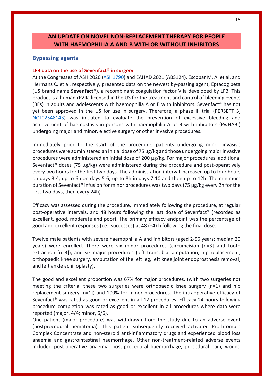# **AN UPDATE ON NOVEL NON-REPLACEMENT THERAPY FOR PEOPLE WITH HAEMOPHILIA A AND B WITH OR WITHOUT INHIBITORS**

## **Bypassing agents**

## **LFB data on the use of Sevenfact® in surgery**

At the Congresses of ASH 2020 (ASH1790) and EAHAD 2021 (ABS124**)**, Escobar M. A. et al. and Hermans C. et al. respectively, presented data on the newest by-passing agent, Eptacog beta (US brand name **Sevenfact®),** a recombinant coagulation factor VIIa developed by LFB. This product is a human rFVIIa licensed in the US for the treatment and control of bleeding events (BEs) in adults and adolescents with haemophilia A or B with inhibitors. Sevenfact® has not yet been approved in the US for use in surgery. Therefore, a phase III trial (PERSEPT 3, NCT02548143) was initiated to evaluate the prevention of excessive bleeding and achievement of haemostasis in persons with haemophilia A or B with inhibitors (PwHABI) undergoing major and minor, elective surgery or other invasive procedures.

Immediately prior to the start of the procedure, patients undergoing minor invasive procedures were administered an initial dose of 75 µg/kg and those undergoing major invasive procedures were administered an initial dose of 200  $\mu$ g/kg. For major procedures, additional Sevenfact<sup>®</sup> doses (75  $\mu$ g/kg) were administered during the procedure and post-operatively every two hours for the first two days. The administration interval increased up to four hours on days 3-4, up to 6h on days 5-6, up to 8h in days 7-10 and then up to 12h. The minimum duration of Sevenfact® infusion for minor procedures was two days (75 µg/kg every 2h for the first two days, then every 24h).

Efficacy was assessed during the procedure, immediately following the procedure, at regular post-operative intervals, and 48 hours following the last dose of Sevenfact® (recorded as excellent, good, moderate and poor). The primary efficacy endpoint was the percentage of good and excellent responses (i.e., successes) at 48 (±4) h following the final dose.

Twelve male patients with severe haemophilia A and inhibitors (aged 2-56 years; median 20 years) were enrolled. There were six minor procedures (circumcision [n=3] and tooth extraction [n=3]), and six major procedures (left transtibial amputation, hip replacement, orthopaedic knee surgery, amputation of the left leg, left knee joint endoprosthesis removal, and left ankle achilloplasty).

The good and excellent proportion was 67% for major procedures, (with two surgeries not meeting the criteria; these two surgeries were orthopaedic knee surgery  $(n=1)$  and hip replacement surgery [n=1]) and 100% for minor procedures. The intraoperative efficacy of Sevenfact® was rated as good or excellent in all 12 procedures. Efficacy 24 hours following procedure completion was rated as good or excellent in all procedures where data were reported (major, 4/4; minor, 6/6).

One patient (major procedure) was withdrawn from the study due to an adverse event (postprocedural hematoma). This patient subsequently received activated Prothrombin Complex Concentrate and non-steroid anti-inflammatory drugs and experienced blood loss anaemia and gastrointestinal haemorrhage. Other non-treatment-related adverse events included post-operative anaemia, post-procedural haemorrhage, procedural pain, wound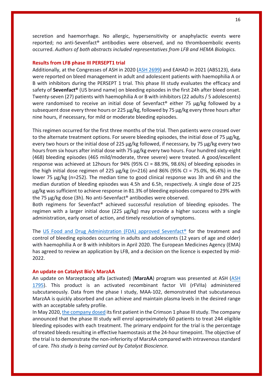secretion and haemorrhage. No allergic, hypersensitivity or anaphylactic events were reported; no anti-Sevenfact® antibodies were observed, and no thromboembolic events occurred. *Authors of both abstracts included representatives from LFB and HEMA Biologics.*

## **Results from LFB phase III PERSEPT1 trial**

Additionally, at the Congresses of ASH in 2020 (ASH 2699) and EAHAD in 2021 (ABS123), data were reported on bleed management in adult and adolescent patients with haemophilia A or B with inhibitors during the PERSEPT 1 trial. This phase III study evaluates the efficacy and safety of **Sevenfact®** (US brand name) on bleeding episodes in the first 24h after bleed onset. Twenty-seven (27) patients with haemophilia A or B with inhibitors (22 adults / 5 adolescents) were randomised to receive an initial dose of Sevenfact® either 75 μg/kg followed by a subsequent dose every three hours or 225 μg/kg, followed by 75 μg/kg every three hours after nine hours, if necessary, for mild or moderate bleeding episodes.

This regimen occurred for the first three months of the trial. Then patients were crossed over to the alternate treatment options. For severe bleeding episodes, the initial dose of 75 μg/kg, every two hours or the initial dose of 225 μg/kg followed, if necessary, by 75 μg/kg every two hours from six hours after initial dose with 75 μg/kg every two hours. Four hundred sixty-eight (468) bleeding episodes (465 mild/moderate, three severe) were treated. A good/excellent response was achieved at 12hours for 94% (95% CI = 88.9%, 98.6%) of bleeding episodes in the high initial dose regimen of 225 μg/kg (n=216) and 86% (95% CI = 75.0%, 96.4%) in the lower 75 μg/kg (n=252). The median time to good clinical response was 3h and 6h and the median duration of bleeding episodes was 4.5h and 6.5h, respectively. A single dose of 225 μg/kg was sufficient to achieve response in 81.3% of bleeding episodes compared to 29% with the 75 μg/kg dose (3h). No anti-Sevenfact® antibodies were observed.

Both regimens for Sevenfact® achieved successful resolution of bleeding episodes. The regimen with a larger initial dose (225 μg/kg) may provide a higher success with a single administration, early onset of action, and timely resolution of symptoms.

The US Food and Drug Administration (FDA) approved Sevenfact® for the treatment and control of bleeding episodes occurring in adults and adolescents (12 years of age and older) with haemophilia A or B with inhibitors in April 2020. The European Medicines Agency (EMA) has agreed to review an application by LFB, and a decision on the licence is expected by mid-2022.

#### **An update on Catalyst Bio's MarzAA**

An update on Marzeptacog alfa (activated) (**MarzAA**) program was presented at ASH (ASH 1795). This product is an activated recombinant factor VII (rFVIIa) administered subcutaneously. Data from the phase I study, MAA-102, demonstrated that subcutaneous MarzAA is quickly absorbed and can achieve and maintain plasma levels in the desired range with an acceptable safety profile.

In May 2020, the company dosed its first patient in the Crimson 1 phase III study. The company announced that the phase III study will enrol approximately 60 patients to treat 244 eligible bleeding episodes with each treatment. The primary endpoint for the trial is the percentage of treated bleeds resulting in effective haemostasis at the 24-hour timepoint. The objective of the trial is to demonstrate the non-inferiority of MarzAA compared with intravenousstandard of care. *This study is being carried out by Catalyst Bioscience.*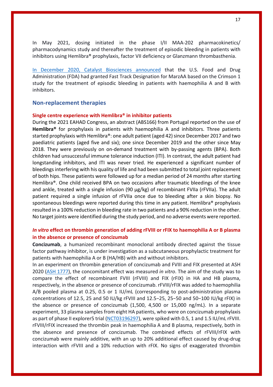In May 2021, dosing initiated in the phase I/II MAA-202 pharmacokinetics/ pharmacodynamics study and thereafter the treatment of episodic bleeding in patients with inhibitors using Hemlibra® prophylaxis, factor VII deficiency or Glanzmann thrombasthenia.

In December 2020, Catalyst Biosciences announced that the U.S. Food and Drug Administration (FDA) had granted Fast Track Designation for MarzAA based on the Crimson 1 study for the treatment of episodic bleeding in patients with haemophilia A and B with inhibitors.

## **Non-replacement therapies**

#### **Single centre experience with Hemlibra® in inhibitor patients**

During the 2021 EAHAD Congress, an abstract (ABS166) from Portugal reported on the use of **Hemlibra®** for prophylaxis in patients with haemophilia A and inhibitors. Three patients started prophylaxis with Hemlibra®: one adult patient (aged 42) since December 2017 and two paediatric patients (aged five and six); one since December 2019 and the other since May 2018. They were previously on on-demand treatment with by-passing agents (BPA). Both children had unsuccessful immune tolerance induction (ITI). In contrast, the adult patient had longstanding inhibitors, and ITI was never tried. He experienced a significant number of bleedings interfering with his quality of life and had been submitted to total joint replacement of both hips. These patients were followed up for a median period of 24 months after starting Hemlibra®. One child received BPA on two occasions after traumatic bleedings of the knee and ankle, treated with a single infusion (90  $\mu$ g/kg) of recombinant FVIIa (rFVIIa). The adult patient required a single infusion of rFVIIa once due to bleeding after a skin biopsy. No spontaneous bleedings were reported during this time in any patient. Hemlibra<sup>®</sup> prophylaxis resulted in a 100% reduction in bleeding rate in two patients and a 90% reduction in the other. No target joints were identified during the study period, and no adverse events were reported.

## *In vitro* **effect on thrombin generation of adding rFVIII or rFIX to haemophilia A or B plasma in the absence or presence of concizumab**

**Concizumab**, a humanized recombinant monoclonal antibody directed against the tissue factor pathway inhibitor, is under investigation as a subcutaneous prophylactic treatment for patients with haemophilia A or B (HA/HB) with and without inhibitors.

In an experiment on thrombin generation of concizumab and FVIII and FIX presented at ASH 2020 (ASH 1777), the concomitant effect was measured *in vitro*. The aim of the study was to compare the effect of recombinant FVIII (rFVIII) and FIX (rFIX) in HA and HB plasma, respectively, in the absence or presence of concizumab. rFVIII/rFIX was added to haemophilia A/B pooled plasma at 0.25, 0.5 or 1 IU/mL (corresponding to post-administration plasma concentrations of 12.5, 25 and 50 IU/kg rFVIII and 12.5−25, 25−50 and 50−100 IU/kg rFIX) in the absence or presence of concizumab (1,500, 4,500 or 15,000 ng/mL). In a separate experiment, 33 plasma samples from eight HA patients, who were on concizumab prophylaxis as part of phase II explorer5 trial (NCT03196297), were spiked with 0.5, 1 and 1.5 IU/mL rFVIII. rFVIII/rFIX increased the thrombin peak in haemophilia A and B plasma, respectively, both in the absence and presence of concizumab. The combined effects of rFVIII/rFIX with concizumab were mainly additive, with an up to 20% additional effect caused by drug-drug interaction with rFVIII and a 10% reduction with rFIX. No signs of exaggerated thrombin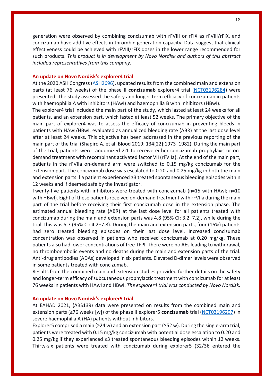generation were observed by combining concizumab with rFVIII or rFIX as rFVIII/rFIX, and concizumab have additive effects in thrombin generation capacity. Data suggest that clinical effectiveness could be achieved with rFVIII/rFIX doses in the lower range recommended for such products. *This product is in development by Novo Nordisk and authors of this abstract included representatives from this company.*

#### **An update on Novo Nordisk's explorer4 trial**

At the 2020 ASH Congress (ASH2696), updated results from the combined main and extension parts (at least 76 weeks) of the phase II **concizumab** explorer4 trial (NCT03196284) were presented. The study assessed the safety and longer-term efficacy of concizumab in patients with haemophilia A with inhibitors (HAwI) and haemophilia B with inhibitors (HBwI).

The explorer4 trial included the main part of the study, which lasted at least 24 weeks for all patients, and an extension part, which lasted at least 52 weeks. The primary objective of the main part of explorer4 was to assess the efficacy of concizumab in preventing bleeds in patients with HAwI/HBwI, evaluated as annualized bleeding rate (ABR) at the last dose level after at least 24 weeks. This objective has been addressed in the previous reporting of the main part of the trial (Shapiro A, et al. Blood 2019; 134[22]:1973–1982). During the main part of the trial, patients were randomized 2:1 to receive either concizumab prophylaxis or ondemand treatment with recombinant activated factor VII (rFVIIa). At the end of the main part, patients in the rFVIIa on-demand arm were switched to 0.15 mg/kg concizumab for the extension part. The concizumab dose was escalated to 0.20 and 0.25 mg/kg in both the main and extension parts if a patient experienced ≥3 treated spontaneous bleeding episodes within 12 weeks and if deemed safe by the investigator.

Twenty-five patients with inhibitors were treated with concizumab (n=15 with HAwI; n=10 with HBwI). Eight of these patients received on-demand treatment with rFVIIa during the main part of the trial before receiving their first concizumab dose in the extension phase. The estimated annual bleeding rate (ABR) at the last dose level for all patients treated with concizumab during the main and extension parts was 4.8 (95% CI: 3.2–7.2), while during the trial, this was 5.7 (95% CI: 4.2−7.8). During the main and extension parts, four (16%) patients had zero treated bleeding episodes on their last dose level. Increased concizumab concentration was observed in patients who received concizumab at 0.20 mg/kg. These patients also had lower concentrations of free TFPI. There were no AEs leading to withdrawal, no thromboembolic events and no deaths during the main and extension parts of the trial. Anti-drug antibodies (ADAs) developed in six patients. Elevated D-dimer levels were observed in some patients treated with concizumab.

Results from the combined main and extension studies provided further details on the safety and longer-term efficacy of subcutaneous prophylactic treatment with concizumab for at least 76 weeks in patients with HAwI and HBwI. *The explorer4 trial was conducted by Novo Nordisk.*

#### **An update on Novo Nordisk's explorer5 trial**

At EAHAD 2021, (ABS139) data were presented on results from the combined main and extension parts (≥76 weeks [w]) of the phase II explorer5 **concizumab** trial (NCT03196297) in severe haemophilia A (HA) patients without inhibitors.

Explorer5 comprised a main ( $\geq 24$  w) and an extension part ( $\geq 52$  w). During the single-arm trial, patients were treated with 0.15 mg/kg concizumab with potential dose escalation to 0.20 and 0.25 mg/kg if they experienced ≥3 treated spontaneous bleeding episodes within 12 weeks. Thirty-six patients were treated with concizumab during explorer5 (32/36 entered the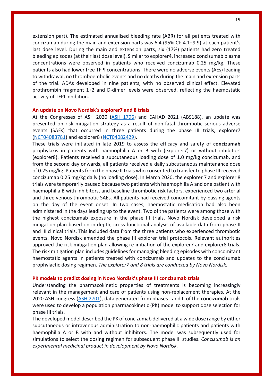extension part). The estimated annualised bleeding rate (ABR) for all patients treated with concizumab during the main and extension parts was 6.4 (95% CI: 4.1−9.9) at each patient's last dose level. During the main and extension parts, six (17%) patients had zero treated bleeding episodes (at their last dose level). Similar to explorer4, increased concizumab plasma concentrations were observed in patients who received concizumab 0.25 mg/kg. These patients also had lower free TFPI concentrations. There were no adverse events (AEs) leading to withdrawal, no thromboembolic events and no deaths during the main and extension parts of the trial. ADAs developed in nine patients, with no observed clinical effect. Elevated prothrombin fragment 1+2 and D-dimer levels were observed, reflecting the haemostatic activity of TFPI inhibition.

#### **An update on Novo Nordisk's explorer7 and 8 trials**

At the Congresses of ASH 2020 (ASH 1796) and EAHAD 2021 (ABS188), an update was presented on risk mitigation strategy as a result of non-fatal thrombotic serious adverse events (SAEs) that occurred in three patients during the phase III trials, explorer7 (NCT04083781) and explorer8 (NCT04082429).

These trials were initiated in late 2019 to assess the efficacy and safety of **concizumab** prophylaxis in patients with haemophilia A or B with (explorer7) or without inhibitors (explorer8). Patients received a subcutaneous loading dose of 1.0 mg/kg concizumab, and from the second day onwards, all patients received a daily subcutaneous maintenance dose of 0.25 mg/kg. Patients from the phase II trials who consented to transfer to phase III received concizumab 0.25 mg/kg daily (no loading dose). In March 2020, the explorer 7 and explorer 8 trials were temporarily paused because two patients with haemophilia A and one patient with haemophilia B with inhibitors, and baseline thrombotic risk factors, experienced two arterial and three venous thrombotic SAEs. All patients had received concomitant by-passing agents on the day of the event onset. In two cases, haemostatic medication had also been administered in the days leading up to the event. Two of the patients were among those with the highest concizumab exposure in the phase III trials. Novo Nordisk developed a risk mitigation plan based on in-depth, cross-functional analysis of available data from phase II and III clinical trials. This included data from the three patients who experienced thrombotic events. Novo Nordisk amended the phase III explorer trial protocols. Relevant authorities approved the risk mitigation plan allowing re-initiation of the explorer7 and explorer8 trials. The risk mitigation plan includes guidelines for managing bleeding episodes with concomitant haemostatic agents in patients treated with concizumab and updates to the concizumab prophylactic dosing regimen. *The explorer7 and 8 trials are conducted by Novo Nordisk.*

#### **PK models to predict dosing in Novo Nordisk's phase III concizumab trials**

Understanding the pharmacokinetic properties of treatments is becoming increasingly relevant in the management and care of patients using non-replacement therapies. At the 2020 ASH congress (ASH 2701), data generated from phases I and II of the **concizumab** trials were used to develop a population pharmacokinetic (PK) model to support dose selection for phase III trials.

The developed model described the PK of concizumab delivered at a wide dose range by either subcutaneous or intravenous administration to non-haemophilic patients and patients with haemophilia A or B with and without inhibitors. The model was subsequently used for simulations to select the dosing regimen for subsequent phase III studies. *Concizumab is an experimental medicinal product in development by Novo Nordisk.*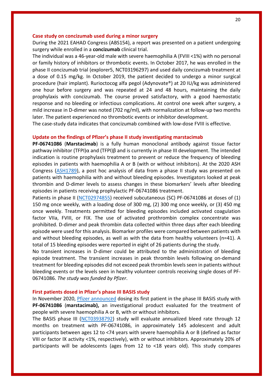## **Case study on concizumab used during a minor surgery**

During the 2021 EAHAD Congress (ABS154), a report was presented on a patient undergoing surgery while enrolled in a **concizumab** clinical trial.

The individual was a 46-year-old male with severe haemophilia A (FVIII <1%) with no personal or family history of inhibitors or thrombotic events. In October 2017, he was enrolled in the phase II concizumab trial (explorer5, NCT03196297) and used daily concizumab treatment at a dose of 0.15 mg/kg. In October 2019, the patient decided to undergo a minor surgical procedure (hair implant). Rurioctocog alfa pegol (Adynovate®) at 20 IU/kg was administered one hour before surgery and was repeated at 24 and 48 hours, maintaining the daily prophylaxis with concizumab. The course proved satisfactory, with a good haemostatic response and no bleeding or infectious complications. At control one week after surgery, a mild increase in D-dimer was noted (702 ng/ml), with normalization at follow-up two months later. The patient experienced no thrombotic events or inhibitor development.

The case-study data indicates that concizumab combined with low-dose FVIII is effective.

#### **Update on the findings of Pfizer's phase II study investigating marstacimab**

**PF-06741086** (**Marstacimab**) is a fully human monoclonal antibody against tissue factor pathway inhibitor (TFPI) $\alpha$  and (TFPI) $\beta$  and is currently in phase III development. The intended indication is routine prophylaxis treatment to prevent or reduce the frequency of bleeding episodes in patients with haemophilia A or B (with or without inhibitors). At the 2020 ASH Congress (ASH1789), a post hoc analysis of data from a phase II study was presented on patients with haemophilia with and without bleeding episodes. Investigators looked at peak thrombin and D-dimer levels to assess changes in these biomarkers' levels after bleeding episodes in patients receiving prophylactic PF-06741086 treatment.

Patients in phase II (NCT02974855) received subcutaneous (SC) PF-06741086 at doses of (1) 150 mg once weekly, with a loading dose of 300 mg, (2) 300 mg once weekly, or (3) 450 mg once weekly. Treatments permitted for bleeding episodes included activated coagulation factor VIIa, FVIII, or FIX. The use of activated prothrombin complex concentrate was prohibited. D-dimer and peak thrombin data collected within three days after each bleeding episode were used for this analysis. Biomarker profiles were compared between patients with and without bleeding episodes, as well as with the data from healthy volunteers (n=41). A total of 15 bleeding episodes were reported in eight of 26 patients during the study.

No transient increases in D-dimer could be attributed to the administration of bleeding episode treatment. The transient increases in peak thrombin levels following on-demand treatment for bleeding episodes did not exceed peak thrombin levels seen in patients without bleeding events or the levels seen in healthy volunteer controls receiving single doses of PF-06741086. *The study was funded by Pfizer*.

#### **First patients dosed in Pfizer's phase III BASIS study**

In November 2020, Pfizer announced dosing its first patient in the phase III BASIS study with **PF-06741086** (**marstacimab),** an investigational product evaluated for the treatment of people with severe haemophilia A or B, with or without inhibitors.

The BASIS phase III (NCT03938792) study will evaluate annualized bleed rate through 12 months on treatment with PF-06741086, in approximately 145 adolescent and adult participants between ages 12 to <74 years with severe haemophilia A or B (defined as factor VIII or factor IX activity <1%, respectively), with or without inhibitors. Approximately 20% of participants will be adolescents (ages from 12 to <18 years old). This study compares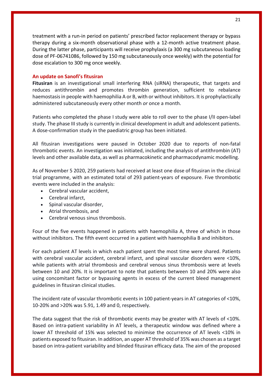treatment with a run-in period on patients' prescribed factor replacement therapy or bypass therapy during a six-month observational phase with a 12-month active treatment phase. During the latter phase, participants will receive prophylaxis (a 300 mg subcutaneous loading dose of PF-06741086, followed by 150 mg subcutaneously once weekly) with the potential for dose escalation to 300 mg once weekly.

## **An update on Sanofi's fitusiran**

**Fitusiran** is an investigational small interfering RNA (siRNA) therapeutic, that targets and reduces antithrombin and promotes thrombin generation, sufficient to rebalance haemostasis in people with haemophilia A or B, with or without inhibitors. It is prophylactically administered subcutaneously every other month *or* once a month.

Patients who completed the phase I study were able to roll over to the phase I/II open-label study. The phase III study is currently in clinical development in adult and adolescent patients. A dose-confirmation study in the paediatric group has been initiated.

All fitusiran investigations were paused in October 2020 due to reports of non-fatal thrombotic events. An investigation was initiated, including the analysis of antithrombin (AT) levels and other available data, as well as pharmacokinetic and pharmacodynamic modelling.

As of November 5 2020, 259 patients had received at least one dose of fitusiran in the clinical trial programme, with an estimated total of 293 patient-years of exposure. Five thrombotic events were included in the analysis:

- Cerebral vascular accident,
- Cerebral infarct,
- Spinal vascular disorder,
- Atrial thrombosis, and
- Cerebral venous sinus thrombosis.

Four of the five events happened in patients with haemophilia A, three of which in those without inhibitors. The fifth event occurred in a patient with haemophilia B and inhibitors.

For each patient AT levels in which each patient spent the most time were shared. Patients with cerebral vascular accident, cerebral infarct, and spinal vascular disorders were <10%, while patients with atrial thrombosis and cerebral venous sinus thrombosis were at levels between 10 and 20%. It is important to note that patients between 10 and 20% were also using concomitant factor or bypassing agents in excess of the current bleed management guidelines in fitusiran clinical studies.

The incident rate of vascular thrombotic events in 100 patient-years in AT categories of <10%, 10-20% and >20% was 5.91, 1.49 and 0, respectively.

The data suggest that the risk of thrombotic events may be greater with AT levels of <10%. Based on intra-patient variability in AT levels, a therapeutic window was defined where a lower AT threshold of 15% was selected to minimise the occurrence of AT levels <10% in patients exposed to fitusiran. In addition, an upper AT threshold of 35% was chosen as a target based on intra-patient variability and blinded fitusiran efficacy data. The aim of the proposed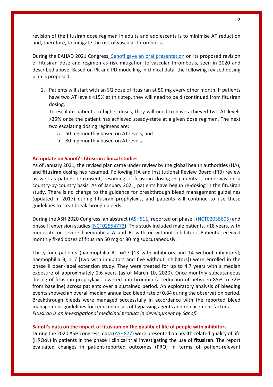revision of the fitusiran dose regimen in adults and adolescents is to minimise AT reduction and, therefore, to mitigate the risk of vascular thrombosis.

During the EAHAD 2021 Congress, Sanofi gave an oral presentation on its proposed revision of fitusiran dose and regimen as risk mitigation to vascular thrombosis, seen in 2020 and described above. Based on PK and PD modelling in clinical data, the following revised dosing plan is proposed.

1. Patients will start with an SQ dose of fitusiran at 50 mg every other month. If patients have two AT levels <15% at this step, they will need to be discontinued from fitusiran dosing.

To escalate patients to higher doses, they will need to have achieved two AT levels >35% once the patient has achieved steady-state at a given dose regimen. The next two escalating dosing regimens are:

- a. 50 mg monthly based on AT levels, and
- b. 80 mg monthly based on AT levels.

## **An update on Sanofi's fitusiran clinical studies**

As of January 2021, the revised plan came under review by the global health authorities (HA), and **fitusiran** dosing has resumed. Following HA and Institutional Review Board (IRB) review as well as patient re-consent, resuming of fitusiran dosing in patients is underway on a country-by-country basis. As of January 2021, patients have begun re-dosing in the fitusiran study. There is no change to the guidance for breakthrough bleed management guidelines (updated in 2017) during fitusiran prophylaxis, and patients will continue to use these guidelines to treat breakthrough bleeds.

During the ASH 2020 Congress, an abstract (ASH511) reported on phase I (NCT02035605) and phase II extension studies (NCT02554773). This study included male patients, >18 years, with moderate or severe haemophilia A and B, with or without inhibitors. Patients received monthly fixed doses of fitusiran 50 mg or 80 mg subcutaneously.

Thirty-four patients (haemophilia A, n=27 [13 with inhibitors and 14 without inhibitors]; haemophilia B, n=7 [two with inhibitors and five without inhibitors]) were enrolled in the phase II open-label extension study. They were treated for up to 4.7 years with a median exposure of approximately 2.6 years (as of March 10, 2020). Once-monthly subcutaneous dosing of fitusiran prophylaxis lowered antithrombin (a reduction of between 85% to 72% from baseline) across patients over a sustained period. An exploratory analysis of bleeding events showed an overall median annualized bleed rate of 0.84 during the observation period. Breakthrough bleeds were managed successfully in accordance with the reported bleed management guidelines for reduced doses of bypassing agents and replacement factors. *Fitusiran is an investigational medicinal product in development by Sanofi.*

## **Sanofi's data on the impact of fitusiran on the quality of life of people with inhibitors**

During the 2020 ASH congress, data (ASH877) were presented on health-related quality of life (HRQoL) in patients in the phase I clinical trial investigating the use of **fitusiran**. The report evaluated changes in patient-reported outcomes (PRO) in terms of patient-relevant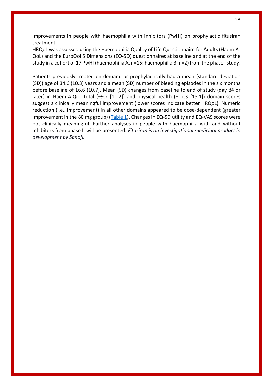improvements in people with haemophilia with inhibitors (PwHI) on prophylactic fitusiran treatment.

HRQoL was assessed using the Haemophilia Quality of Life Questionnaire for Adults (Haem-A-QoL) and the EuroQol 5 Dimensions (EQ-5D) questionnaires at baseline and at the end of the study in a cohort of 17 PwHI (haemophilia A, n=15; haemophilia B, n=2) from the phase Istudy.

Patients previously treated on-demand or prophylactically had a mean (standard deviation [SD]) age of 34.6 (10.3) years and a mean (SD) number of bleeding episodes in the six months before baseline of 16.6 (10.7). Mean (SD) changes from baseline to end of study (day 84 or later) in Haem-A-QoL total (–9.2 [11.2]) and physical health (−12.3 [15.1]) domain scores suggest a clinically meaningful improvement (lower scores indicate better HRQoL). Numeric reduction (i.e., improvement) in all other domains appeared to be dose-dependent (greater improvement in the 80 mg group) (Table 1). Changes in EQ-5D utility and EQ-VAS scores were not clinically meaningful. Further analyses in people with haemophilia with and without inhibitors from phase II will be presented. *Fitusiran is an investigational medicinal product in development by Sanofi.*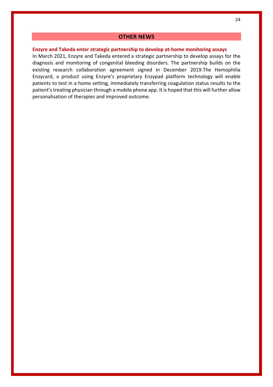## **OTHER NEWS**

## **Enzyre and Takeda enter strategic partnership to develop at-home monitoring assays**

In March 2021, Enzyre and Takeda entered a strategic partnership to develop assays for the diagnosis and monitoring of congenital bleeding disorders. The partnership builds on the existing research collaboration agreement signed in December 2019.The Hemophilia Enzycard, a product using Enzyre's proprietary Enzypad platform technology will enable patients to test in a home setting, immediately transferring coagulation status results to the patient's treating physician through a mobile phone app. It is hoped that this will further allow personalisation of therapies and improved outcome.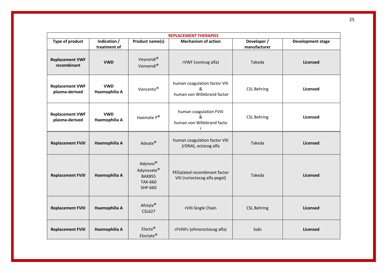| <b>REPLACEMENT THERAPIES</b>             |                              |                                                                      |                                                                                  |                             |                          |
|------------------------------------------|------------------------------|----------------------------------------------------------------------|----------------------------------------------------------------------------------|-----------------------------|--------------------------|
| Type of product                          | Indication /<br>treatment of | Product name(s)                                                      | <b>Mechanism of action</b>                                                       | Developer /<br>manufacturer | <b>Development stage</b> |
| <b>Replacement VWF</b><br>recombinant    | <b>VWD</b>                   | Veyvondi®<br>Vonvendi®                                               | rVWF (vonicog alfa)                                                              | Takeda                      |                          |
| <b>Replacement VWF</b><br>plasma-derived | <b>VWD</b><br>Haemophilia A  | Voncento <sup>®</sup>                                                | human coagulation factor VIII<br>&<br>human von Willebrand factor                | <b>CSL Behring</b>          |                          |
| <b>Replacement VWF</b><br>plasma-derived | <b>VWD</b><br>Haemophilia A  | Haemate P®                                                           | human coagulation FVIII<br>&<br><b>CSL Behring</b><br>human von Willebrand facto |                             | <b>Licensed</b>          |
| <b>Replacement FVIII</b>                 | Haemophilia A                | Advate <sup>®</sup>                                                  | human coagulation factor VIII<br>(rDNA), octocog alfa                            | Takeda                      | Licensed                 |
| <b>Replacement FVIII</b>                 | Haemophilia A                | Adynovi®<br>Adynovate®<br><b>BAX855</b><br><b>TAK-660</b><br>SHP-660 | PEGylated recombinant factor<br>Takeda<br>VIII (rurioctocog alfa pegol)          |                             | <b>Licensed</b>          |
| <b>Replacement FVIII</b>                 | Haemophilia A                | Afstyla <sup>®</sup><br><b>CSL627</b>                                | rVIII-Single Chain                                                               | <b>CSL Behring</b>          | <b>Licensed</b>          |
| <b>Replacement FVIII</b>                 | Haemophilia A                | $Elocta^@$<br>Eloctate®                                              | rFVIIIFc (efmoroctocog alfa)                                                     | Sobi                        | Licensed                 |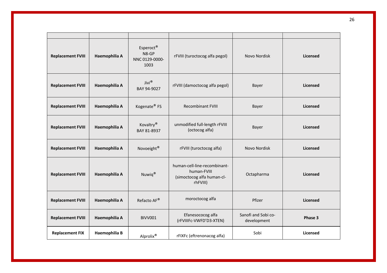| <b>Replacement FVIII</b> | Haemophilia A | Esperoct <sup>®</sup><br>N8-GP<br>NNC 0129-0000-<br>1003 | rFVIII (turoctocog alfa pegol)                                                        | Novo Nordisk                       | <b>Licensed</b> |
|--------------------------|---------------|----------------------------------------------------------|---------------------------------------------------------------------------------------|------------------------------------|-----------------|
| <b>Replacement FVIII</b> | Haemophilia A | Jivi®<br>BAY 94-9027                                     | rFVIII (damoctocog alfa pegol)                                                        | Bayer                              | Licensed        |
| <b>Replacement FVIII</b> | Haemophilia A | Kogenate <sup>®</sup> FS                                 | <b>Recombinant FVIII</b>                                                              | Bayer                              | <b>Licensed</b> |
| <b>Replacement FVIII</b> | Haemophilia A | Kovaltry <sup>®</sup><br>BAY 81-8937                     | unmodified full-length rFVIII<br>(octocog alfa)                                       | Bayer                              | <b>Licensed</b> |
| <b>Replacement FVIII</b> | Haemophilia A | Novoeight®                                               | rFVIII (turoctocog alfa)                                                              | Novo Nordisk                       | Licensed        |
| <b>Replacement FVIII</b> | Haemophilia A | Nuwiq®                                                   | human-cell-line-recombinant-<br>human-FVIII<br>(simoctocog alfa human-cl-<br>rhFVIII) | Octapharma                         | Licensed        |
| <b>Replacement FVIII</b> | Haemophilia A | Refacto AF®                                              | moroctocog alfa                                                                       | Pfizer                             | <b>Licensed</b> |
| <b>Replacement FVIII</b> | Haemophilia A | BIVV001                                                  | Efanesococog alfa<br>(rFVIIIFc-VWFD'D3-XTEN)                                          | Sanofi and Sobi co-<br>development | Phase 3         |
| <b>Replacement FIX</b>   | Haemophilia B | Alprolix®                                                | rFIXFc (eftrenonacog alfa)                                                            | Sobi                               | <b>Licensed</b> |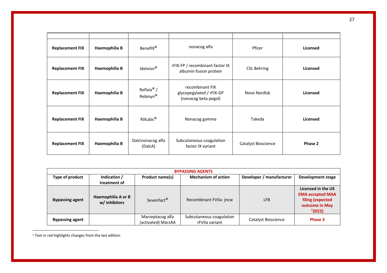| <b>Replacement FIX</b> | Haemophilia B | nonacog alfa<br>BenefIX <sup>®</sup><br>Pfizer |                                                                                 | Licensed            |                 |
|------------------------|---------------|------------------------------------------------|---------------------------------------------------------------------------------|---------------------|-----------------|
| <b>Replacement FIX</b> | Haemophilia B | Idelvion <sup>®</sup>                          | rFIX-FP / recombinant factor IX<br><b>CSL Behring</b><br>albumin fusion protein |                     | <b>Licensed</b> |
| <b>Replacement FIX</b> | Haemophilia B | Refixia <sup>®</sup> /<br>Rebinyn <sup>®</sup> | recombinant FIX<br>glycopegylated / rFIX-GP<br>(nonacog beta pegol)             | Novo Nordisk        |                 |
| <b>Replacement FIX</b> | Haemophilia B | RIXubis <sup>®</sup>                           | Takeda<br>Nonacog gamma                                                         |                     | Licensed        |
| <b>Replacement FIX</b> | Haemophilia B | Dalcinonacog alfa<br>(DalcA)                   | Subcutaneous coagulation<br>factor IX variant                                   | Catalyst Bioscience |                 |

| <b>BYPASSING AGENTS</b>         |                                     |                                        |                                                        |                     |                                                                                              |  |  |
|---------------------------------|-------------------------------------|----------------------------------------|--------------------------------------------------------|---------------------|----------------------------------------------------------------------------------------------|--|--|
| Indication /<br>Type of product |                                     | Product name(s)                        | <b>Mechanism of action</b><br>Developer / manufacturer |                     | Development stage                                                                            |  |  |
|                                 | treatment of                        |                                        |                                                        |                     |                                                                                              |  |  |
| <b>Bypassing agent</b>          | Haemophilia A or B<br>w/ inhibitors | Sevenfact <sup>®</sup>                 | Recombinant FVIIa- jncw                                | <b>LFB</b>          | Licensed in the US<br><b>EMA accepted MAA</b><br>filing (expected<br>outcome in May<br>12022 |  |  |
| <b>Bypassing agent</b>          |                                     | Marzeptacog alfa<br>(activated) MarzAA | Subcutaneous coagulation<br>rFVIIa variant             | Catalyst Bioscience | Phase 3                                                                                      |  |  |

<sup>1</sup> Text in red highlights changes from the last edition.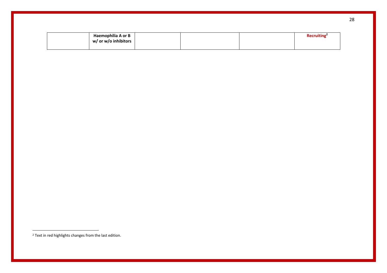| Haemophilia A or B   |  | <b>Recruiting</b> |
|----------------------|--|-------------------|
| w/ or w/o inhibitors |  |                   |
|                      |  |                   |

<sup>2</sup> Text in red highlights changes from the last edition.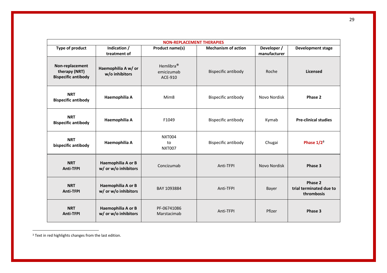| <b>NON-REPLACEMENT THERAPIES</b>                               |                                            |                                                |                            |                             |                                                  |  |
|----------------------------------------------------------------|--------------------------------------------|------------------------------------------------|----------------------------|-----------------------------|--------------------------------------------------|--|
| Type of product                                                | Indication /<br>treatment of               | Product name(s)                                | <b>Mechanism of action</b> | Developer /<br>manufacturer | <b>Development stage</b>                         |  |
| Non-replacement<br>therapy (NRT)<br><b>Bispecific antibody</b> | Haemophilia A w/ or<br>w/o inhibitors      | Hemlibra <sup>®</sup><br>emicizumab<br>ACE-910 | <b>Bispecific antibody</b> | Roche                       | <b>Licensed</b>                                  |  |
| <b>NRT</b><br><b>Bispecific antibody</b>                       | Haemophilia A                              | Mim <sub>8</sub>                               | <b>Bispecific antibody</b> | Novo Nordisk                | Phase 2                                          |  |
| <b>NRT</b><br><b>Bispecific antibody</b>                       | Haemophilia A                              | F1049                                          | <b>Bispecific antibody</b> | Kymab                       | <b>Pre-clinical studies</b>                      |  |
| <b>NRT</b><br>bispecific antibody                              | Haemophilia A                              | <b>NXT004</b><br>to<br><b>NXT007</b>           | <b>Bispecific antibody</b> | Chugai                      | Phase $1/2^3$                                    |  |
| <b>NRT</b><br><b>Anti-TFPI</b>                                 | Haemophilia A or B<br>w/ or w/o inhibitors | Concizumab                                     | Anti-TFPI                  | Novo Nordisk                | Phase 3                                          |  |
| <b>NRT</b><br><b>Anti-TFPI</b>                                 | Haemophilia A or B<br>w/ or w/o inhibitors | BAY 1093884                                    | Anti-TFPI                  | Bayer                       | Phase 2<br>trial terminated due to<br>thrombosis |  |
| <b>NRT</b><br><b>Anti-TFPI</b>                                 | Haemophilia A or B<br>w/ or w/o inhibitors | PF-06741086<br>Marstacimab                     | Anti-TFPI                  | Pfizer                      | Phase 3                                          |  |

<sup>&</sup>lt;sup>3</sup> Text in red highlights changes from the last edition.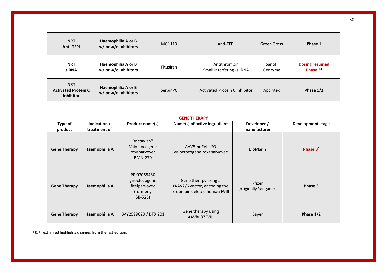| <b>NRT</b><br><b>Anti-TFPI</b>                        | Haemophilia A or B<br>w/ or w/o inhibitors | MG1113    | Anti-TFPI                                 | Green Cross       | Phase 1                                       |
|-------------------------------------------------------|--------------------------------------------|-----------|-------------------------------------------|-------------------|-----------------------------------------------|
| <b>NRT</b><br>siRNA                                   | Haemophilia A or B<br>w/ or w/o inhibitors | Fitusiran | Antithrombin<br>Small interfering (si)RNA | Sanofi<br>Genzyme | <b>Dosing resumed</b><br>Phase 3 <sup>4</sup> |
| <b>NRT</b><br><b>Activated Protein C</b><br>inhibitor | Haemophilia A or B<br>w/ or w/o inhibitors | SerpinPC  | Activated Protein C inhibitor             | Apcintex          | Phase 1/2                                     |

|                     | <b>GENE THERAPY</b>          |                                                                           |                                                                                      |                                |                   |  |  |
|---------------------|------------------------------|---------------------------------------------------------------------------|--------------------------------------------------------------------------------------|--------------------------------|-------------------|--|--|
| Type of<br>product  | Indication /<br>treatment of | Product name(s)                                                           | Name(s) of active ingredient                                                         | Developer /<br>manufacturer    | Development stage |  |  |
| <b>Gene Therapy</b> | Haemophilia A                | Roctavian <sup>®</sup><br>Valoctocogene<br>roxaparvovec<br><b>BMN-270</b> | AAV5-huFVIII-SQ<br>Valoctocogene roxaparvovec                                        | <b>BioMarin</b>                | Phase $35$        |  |  |
| <b>Gene Therapy</b> | Haemophilia A                | PF-07055480<br>giroctocogene<br>fitelparvovec<br>(formerly)<br>SB-525)    | Gene therapy using a<br>rAAV2/6 vector, encoding the<br>B-domain deleted human FVIII | Pfizer<br>(originally Sangamo) | Phase 3           |  |  |
| <b>Gene Therapy</b> | Haemophilia A                | BAY2599023 / DTX 201                                                      | Gene therapy using<br>AAVhu37FVIII                                                   | Bayer                          | Phase 1/2         |  |  |

<sup>4</sup> & 4 Text in red highlights changes from the last edition.

30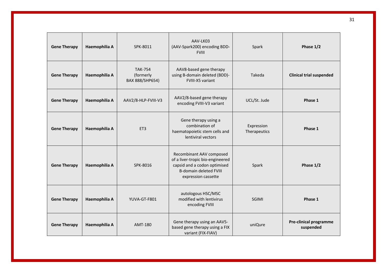| <b>Gene Therapy</b> | Haemophilia A | SPK-8011                                       | AAV-LK03<br>(AAV-Spark200) encoding BDD-<br><b>FVIII</b>                                                                                             | Spark                      | Phase 1/2                                  |
|---------------------|---------------|------------------------------------------------|------------------------------------------------------------------------------------------------------------------------------------------------------|----------------------------|--------------------------------------------|
| <b>Gene Therapy</b> | Haemophilia A | <b>TAK-754</b><br>(formerly<br>BAX 888/SHP654) | AAV8-based gene therapy<br>using B-domain deleted (BDD)-<br>FVIII-X5 variant                                                                         | Takeda                     | <b>Clinical trial suspended</b>            |
| <b>Gene Therapy</b> | Haemophilia A | AAV2/8-HLP-FVIII-V3                            | AAV2/8-based gene therapy<br>encoding FVIII-V3 variant                                                                                               | UCL/St. Jude               | Phase 1                                    |
| <b>Gene Therapy</b> | Haemophilia A | ET3                                            | Gene therapy using a<br>combination of<br>haematopoietic stem cells and<br>lentiviral vectors                                                        | Expression<br>Therapeutics | Phase 1                                    |
| <b>Gene Therapy</b> | Haemophilia A | SPK-8016                                       | Recombinant AAV composed<br>of a liver-tropic bio-engineered<br>capsid and a codon optimised<br><b>B-domain deleted FVIII</b><br>expression cassette | Spark                      | Phase 1/2                                  |
| <b>Gene Therapy</b> | Haemophilia A | YUVA-GT-F801                                   | autologous HSC/MSC<br>modified with lentivirus<br>encoding FVIII                                                                                     | <b>SGIMI</b>               | Phase 1                                    |
| <b>Gene Therapy</b> | Haemophilia A | AMT-180                                        | Gene therapy using an AAV5-<br>based gene therapy using a FIX<br>variant (FIX-FIAV)                                                                  | uniQure                    | <b>Pre-clinical programme</b><br>suspended |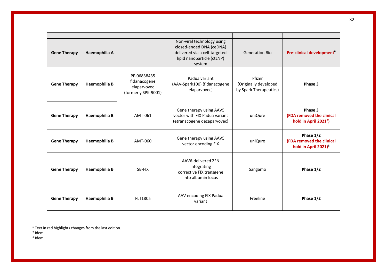| <b>Gene Therapy</b> | Haemophilia A |                                                                   | Non-viral technology using<br>closed-ended DNA (ceDNA)<br>delivered via a cell-targeted<br>lipid nanoparticle (ctLNP)<br>system | <b>Generation Bio</b>                                     | Pre-clinical development <sup>6</sup>                                      |
|---------------------|---------------|-------------------------------------------------------------------|---------------------------------------------------------------------------------------------------------------------------------|-----------------------------------------------------------|----------------------------------------------------------------------------|
| <b>Gene Therapy</b> | Haemophilia B | PF-06838435<br>fidanacogene<br>elaparvovec<br>(formerly SPK-9001) | Padua variant<br>(AAV-Spark100) (fidanacogene<br>elaparvovec)                                                                   | Pfizer<br>(Originally developed<br>by Spark Therapeutics) | Phase 3                                                                    |
| <b>Gene Therapy</b> | Haemophilia B | AMT-061                                                           | Gene therapy using AAV5<br>vector with FIX Padua variant<br>(etranacogene dezaparvovec)                                         | uniQure                                                   | Phase 3<br>(FDA removed the clinical<br>hold in April 2021 <sup>7</sup> )  |
| <b>Gene Therapy</b> | Haemophilia B | AMT-060                                                           | Gene therapy using AAV5<br>vector encoding FIX                                                                                  | uniQure                                                   | Phase 1/2<br>(FDA removed the clinical<br>hold in April 2021) <sup>8</sup> |
| <b>Gene Therapy</b> | Haemophilia B | SB-FIX                                                            | AAV6-delivered ZFN<br>integrating<br>corrective FIX transgene<br>into albumin locus                                             | Sangamo                                                   | Phase 1/2                                                                  |
| <b>Gene Therapy</b> | Haemophilia B | <b>FLT180a</b>                                                    | AAV encoding FIX Padua<br>variant                                                                                               | Freeline                                                  | Phase 1/2                                                                  |

<sup>8</sup> Idem

<sup>6</sup> Text in red highlights changes from the last edition.

<sup>7</sup> Idem